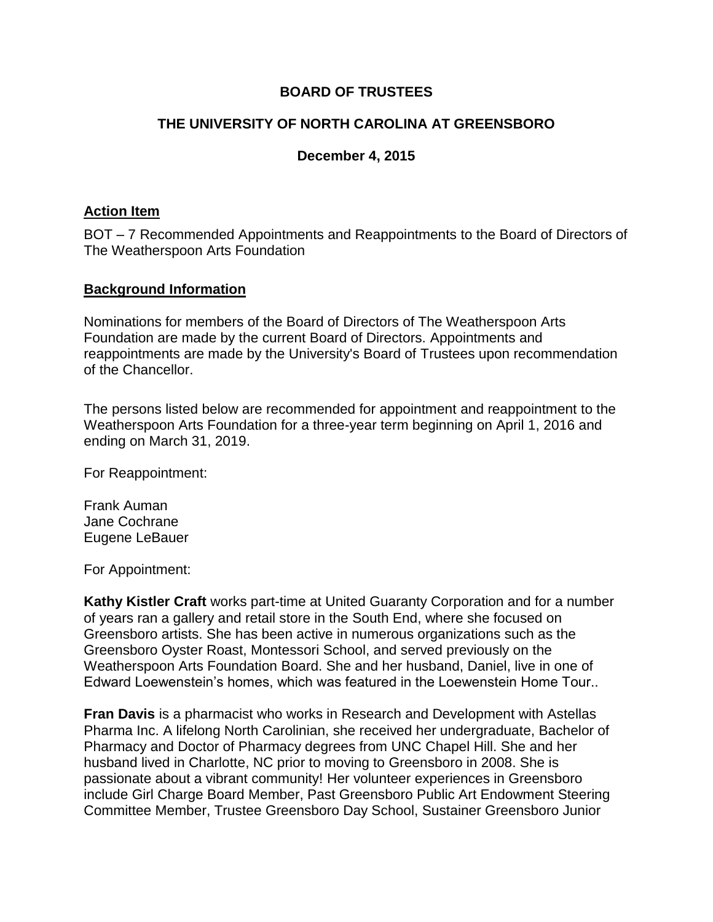# **BOARD OF TRUSTEES**

# **THE UNIVERSITY OF NORTH CAROLINA AT GREENSBORO**

# **December 4, 2015**

### **Action Item**

BOT – 7 Recommended Appointments and Reappointments to the Board of Directors of The Weatherspoon Arts Foundation

# **Background Information**

Nominations for members of the Board of Directors of The Weatherspoon Arts Foundation are made by the current Board of Directors. Appointments and reappointments are made by the University's Board of Trustees upon recommendation of the Chancellor.

The persons listed below are recommended for appointment and reappointment to the Weatherspoon Arts Foundation for a three-year term beginning on April 1, 2016 and ending on March 31, 2019.

For Reappointment:

Frank Auman Jane Cochrane Eugene LeBauer

For Appointment:

**Kathy Kistler Craft** works part-time at United Guaranty Corporation and for a number of years ran a gallery and retail store in the South End, where she focused on Greensboro artists. She has been active in numerous organizations such as the Greensboro Oyster Roast, Montessori School, and served previously on the Weatherspoon Arts Foundation Board. She and her husband, Daniel, live in one of Edward Loewenstein's homes, which was featured in the Loewenstein Home Tour..

**Fran Davis** is a pharmacist who works in Research and Development with Astellas Pharma Inc. A lifelong North Carolinian, she received her undergraduate, Bachelor of Pharmacy and Doctor of Pharmacy degrees from UNC Chapel Hill. She and her husband lived in Charlotte, NC prior to moving to Greensboro in 2008. She is passionate about a vibrant community! Her volunteer experiences in Greensboro include Girl Charge Board Member, Past Greensboro Public Art Endowment Steering Committee Member, Trustee Greensboro Day School, Sustainer Greensboro Junior